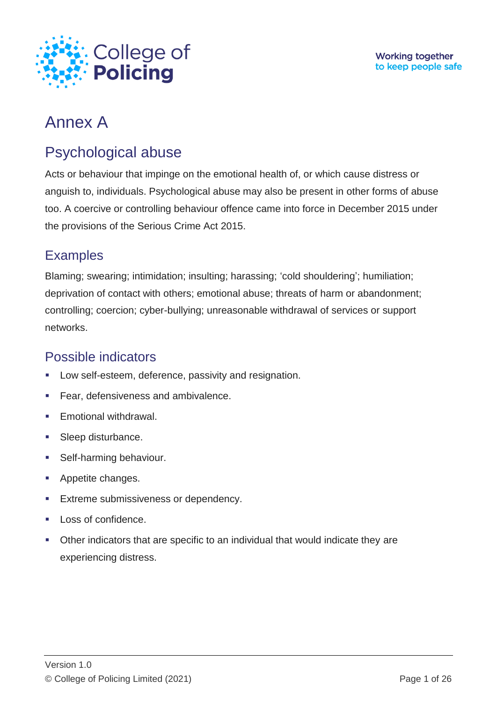

# Annex A

# Psychological abuse

Acts or behaviour that impinge on the emotional health of, or which cause distress or anguish to, individuals. Psychological abuse may also be present in other forms of abuse too. A coercive or controlling behaviour offence came into force in December 2015 under the provisions of the Serious Crime Act 2015.

## **Examples**

Blaming; swearing; intimidation; insulting; harassing; 'cold shouldering'; humiliation; deprivation of contact with others; emotional abuse; threats of harm or abandonment; controlling; coercion; cyber-bullying; unreasonable withdrawal of services or support networks.

## Possible indicators

- Low self-esteem, deference, passivity and resignation.
- Fear, defensiveness and ambivalence.
- Emotional withdrawal.
- **Sleep disturbance.**
- **Self-harming behaviour.**
- Appetite changes.
- Extreme submissiveness or dependency.
- Loss of confidence.
- Other indicators that are specific to an individual that would indicate they are experiencing distress.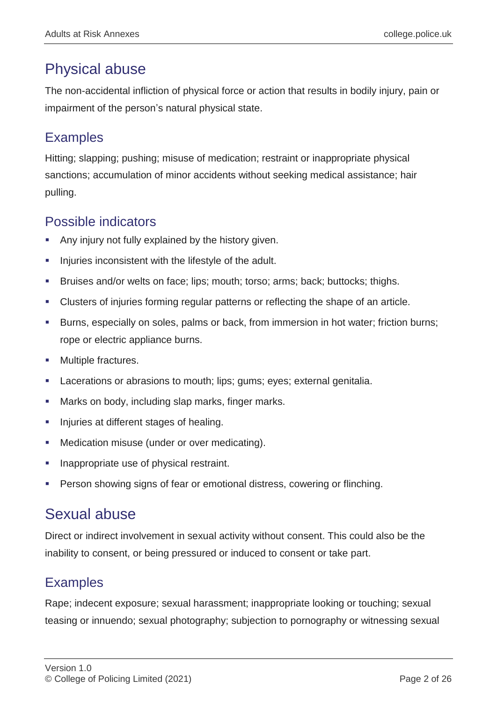# Physical abuse

The non-accidental infliction of physical force or action that results in bodily injury, pain or impairment of the person's natural physical state.

### Examples

Hitting; slapping; pushing; misuse of medication; restraint or inappropriate physical sanctions; accumulation of minor accidents without seeking medical assistance; hair pulling.

### Possible indicators

- Any injury not fully explained by the history given.
- **Injuries inconsistent with the lifestyle of the adult.**
- Bruises and/or welts on face; lips; mouth; torso; arms; back; buttocks; thighs.
- Clusters of injuries forming regular patterns or reflecting the shape of an article.
- Burns, especially on soles, palms or back, from immersion in hot water; friction burns; rope or electric appliance burns.
- Multiple fractures.
- Lacerations or abrasions to mouth; lips; gums; eyes; external genitalia.
- **Marks on body, including slap marks, finger marks.**
- **Injuries at different stages of healing.**
- Medication misuse (under or over medicating).
- Inappropriate use of physical restraint.
- Person showing signs of fear or emotional distress, cowering or flinching.

## Sexual abuse

Direct or indirect involvement in sexual activity without consent. This could also be the inability to consent, or being pressured or induced to consent or take part.

### Examples

Rape; indecent exposure; sexual harassment; inappropriate looking or touching; sexual teasing or innuendo; sexual photography; subjection to pornography or witnessing sexual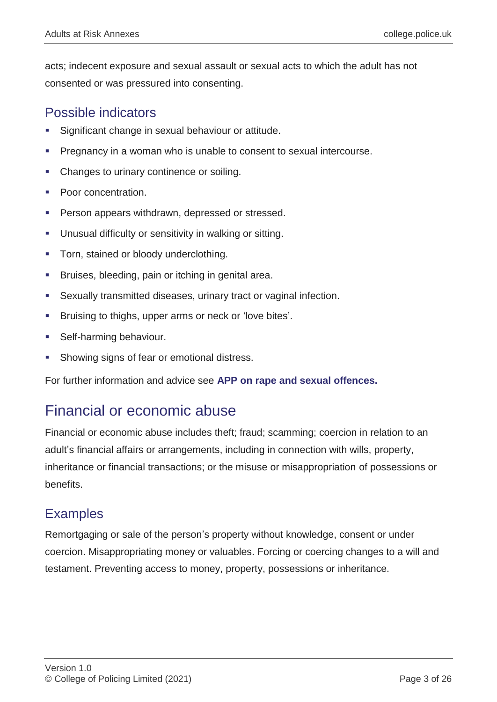acts; indecent exposure and sexual assault or sexual acts to which the adult has not consented or was pressured into consenting.

#### Possible indicators

- Significant change in sexual behaviour or attitude.
- **Pregnancy in a woman who is unable to consent to sexual intercourse.**
- Changes to urinary continence or soiling.
- Poor concentration.
- Person appears withdrawn, depressed or stressed.
- Unusual difficulty or sensitivity in walking or sitting.
- **Torn, stained or bloody underclothing.**
- Bruises, bleeding, pain or itching in genital area.
- Sexually transmitted diseases, urinary tract or vaginal infection.
- Bruising to thighs, upper arms or neck or 'love bites'.
- Self-harming behaviour.
- Showing signs of fear or emotional distress.

For further information and advice see **[APP on rape and sexual offences.](https://www.app.college.police.uk/app-content/major-investigation-and-public-protection/rape-and-sexual-offences/)**

## Financial or economic abuse

Financial or economic abuse includes theft; fraud; scamming; coercion in relation to an adult's financial affairs or arrangements, including in connection with wills, property, inheritance or financial transactions; or the misuse or misappropriation of possessions or benefits.

#### **Examples**

Remortgaging or sale of the person's property without knowledge, consent or under coercion. Misappropriating money or valuables. Forcing or coercing changes to a will and testament. Preventing access to money, property, possessions or inheritance.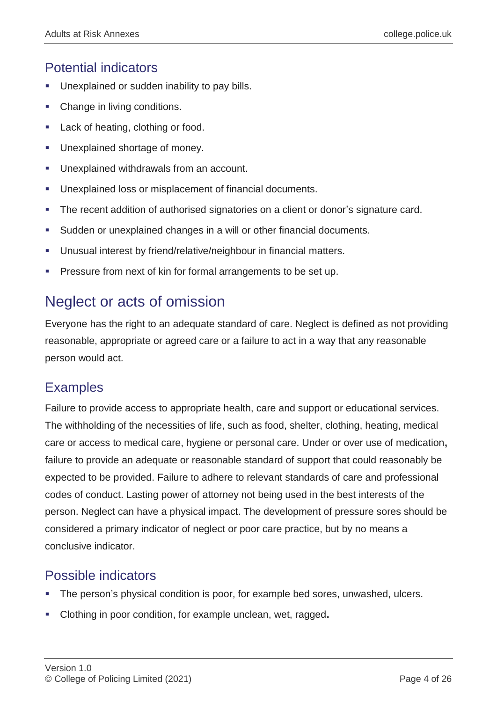#### Potential indicators

- Unexplained or sudden inability to pay bills.
- Change in living conditions.
- Lack of heating, clothing or food.
- Unexplained shortage of money.
- Unexplained withdrawals from an account.
- Unexplained loss or misplacement of financial documents.
- The recent addition of authorised signatories on a client or donor's signature card.
- Sudden or unexplained changes in a will or other financial documents.
- Unusual interest by friend/relative/neighbour in financial matters.
- Pressure from next of kin for formal arrangements to be set up.

## Neglect or acts of omission

Everyone has the right to an adequate standard of care. Neglect is defined as not providing reasonable, appropriate or agreed care or a failure to act in a way that any reasonable person would act.

#### **Examples**

Failure to provide access to appropriate health, care and support or educational services. The withholding of the necessities of life, such as food, shelter, clothing, heating, medical care or access to medical care, hygiene or personal care. Under or over use of medication**,**  failure to provide an adequate or reasonable standard of support that could reasonably be expected to be provided. Failure to adhere to relevant standards of care and professional codes of conduct. Lasting power of attorney not being used in the best interests of the person. Neglect can have a physical impact. The development of pressure sores should be considered a primary indicator of neglect or poor care practice, but by no means a conclusive indicator.

#### Possible indicators

- The person's physical condition is poor, for example bed sores, unwashed, ulcers.
- Clothing in poor condition, for example unclean, wet, ragged**.**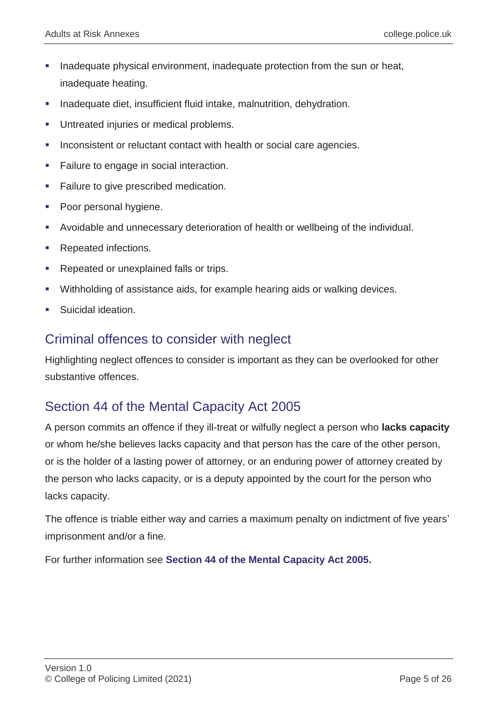- Inadequate physical environment, inadequate protection from the sun or heat, inadequate heating.
- Inadequate diet, insufficient fluid intake, malnutrition, dehydration.
- Untreated injuries or medical problems.
- Inconsistent or reluctant contact with health or social care agencies.
- Failure to engage in social interaction.
- **Failure to give prescribed medication.**
- Poor personal hygiene.
- Avoidable and unnecessary deterioration of health or wellbeing of the individual.
- Repeated infections.
- Repeated or unexplained falls or trips.
- Withholding of assistance aids, for example hearing aids or walking devices.
- Suicidal ideation.

#### Criminal offences to consider with neglect

Highlighting neglect offences to consider is important as they can be overlooked for other substantive offences.

### Section 44 of the Mental Capacity Act 2005

A person commits an offence if they ill-treat or wilfully neglect a person who **lacks capacity** or whom he/she believes lacks capacity and that person has the care of the other person, or is the holder of a lasting power of attorney, or an enduring power of attorney created by the person who lacks capacity, or is a deputy appointed by the court for the person who lacks capacity.

The offence is triable either way and carries a maximum penalty on indictment of five years' imprisonment and/or a fine.

For further information see **[Section 44 of the Mental Capacity Act 2005.](https://www.legislation.gov.uk/ukpga/2005/9/section/44)**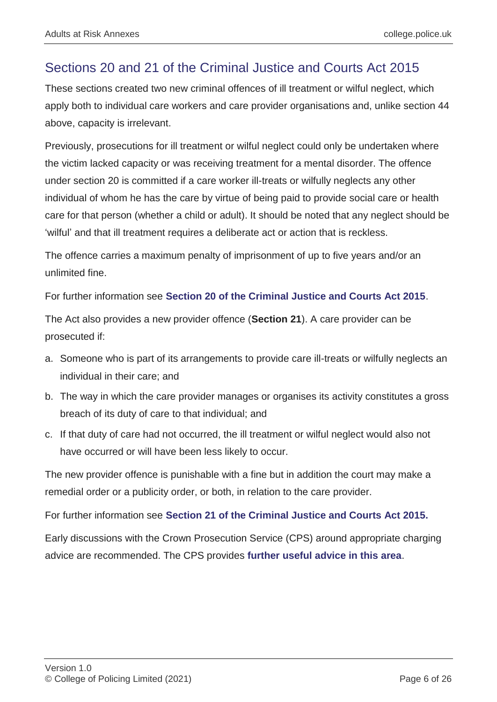### Sections 20 and 21 of the Criminal Justice and Courts Act 2015

These sections created two new criminal offences of ill treatment or wilful neglect, which apply both to individual care workers and care provider organisations and, unlike section 44 above, capacity is irrelevant.

Previously, prosecutions for ill treatment or wilful neglect could only be undertaken where the victim lacked capacity or was receiving treatment for a mental disorder. The offence under section 20 is committed if a care worker ill-treats or wilfully neglects any other individual of whom he has the care by virtue of being paid to provide social care or health care for that person (whether a child or adult). It should be noted that any neglect should be 'wilful' and that ill treatment requires a deliberate act or action that is reckless.

The offence carries a maximum penalty of imprisonment of up to five years and/or an unlimited fine.

For further information see **[Section 20 of the Criminal Justice and Courts Act 2015](http://www.legislation.gov.uk/ukpga/2015/2/section/20/enacted)**.

The Act also provides a new provider offence (**Section 21**). A care provider can be prosecuted if:

- a. Someone who is part of its arrangements to provide care ill-treats or wilfully neglects an individual in their care; and
- b. The way in which the care provider manages or organises its activity constitutes a gross breach of its duty of care to that individual; and
- c. If that duty of care had not occurred, the ill treatment or wilful neglect would also not have occurred or will have been less likely to occur.

The new provider offence is punishable with a fine but in addition the court may make a remedial order or a publicity order, or both, in relation to the care provider.

For further information see **[Section 21 of the Criminal Justice and Courts Act 2015.](http://www.legislation.gov.uk/ukpga/2015/2/section/21/enacted)**

Early discussions with the Crown Prosecution Service (CPS) around appropriate charging advice are recommended. The CPS provides **[further useful advice in this area](https://www.cps.gov.uk/legal-guidance/ill-treatment-or-wilful-neglect-offences-sections-20-25-criminal-justice-and-courts)**.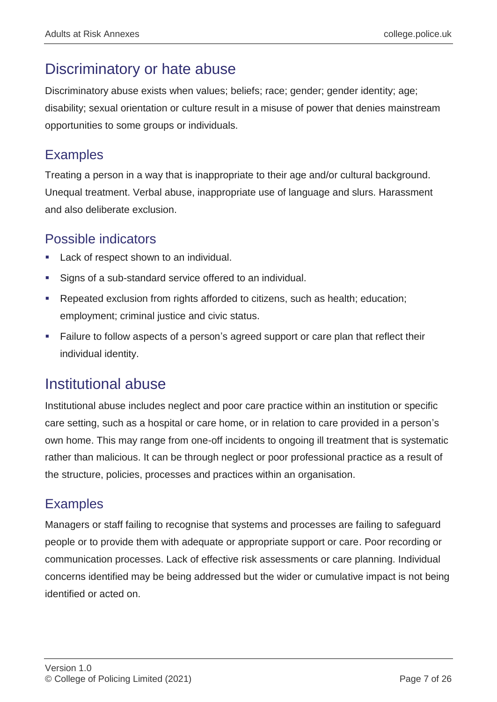## Discriminatory or hate abuse

Discriminatory abuse exists when values; beliefs; race; gender; gender identity; age; disability; sexual orientation or culture result in a misuse of power that denies mainstream opportunities to some groups or individuals.

#### **Examples**

Treating a person in a way that is inappropriate to their age and/or cultural background. Unequal treatment. Verbal abuse, inappropriate use of language and slurs. Harassment and also deliberate exclusion.

## Possible indicators

- Lack of respect shown to an individual.
- Signs of a sub-standard service offered to an individual.
- Repeated exclusion from rights afforded to citizens, such as health; education; employment; criminal justice and civic status.
- Failure to follow aspects of a person's agreed support or care plan that reflect their individual identity.

## Institutional abuse

Institutional abuse includes neglect and poor care practice within an institution or specific care setting, such as a hospital or care home, or in relation to care provided in a person's own home. This may range from one-off incidents to ongoing ill treatment that is systematic rather than malicious. It can be through neglect or poor professional practice as a result of the structure, policies, processes and practices within an organisation.

## **Examples**

Managers or staff failing to recognise that systems and processes are failing to safeguard people or to provide them with adequate or appropriate support or care. Poor recording or communication processes. Lack of effective risk assessments or care planning. Individual concerns identified may be being addressed but the wider or cumulative impact is not being identified or acted on.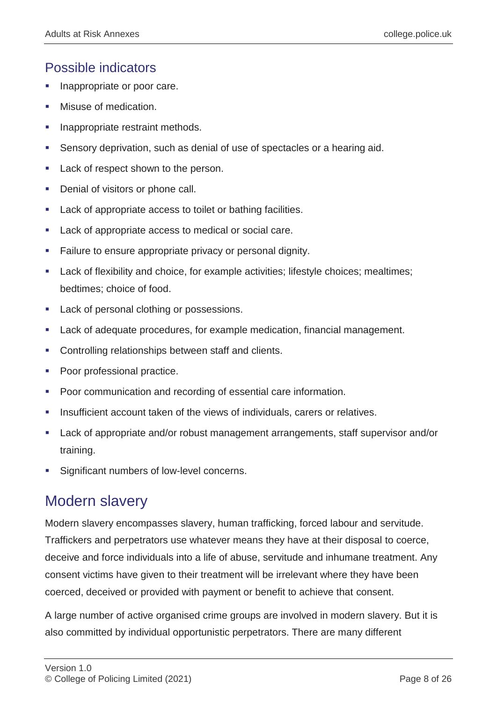### Possible indicators

- Inappropriate or poor care.
- Misuse of medication.
- Inappropriate restraint methods.
- Sensory deprivation, such as denial of use of spectacles or a hearing aid.
- Lack of respect shown to the person.
- Denial of visitors or phone call.
- Lack of appropriate access to toilet or bathing facilities.
- **Lack of appropriate access to medical or social care.**
- Failure to ensure appropriate privacy or personal dignity.
- Lack of flexibility and choice, for example activities; lifestyle choices; mealtimes; bedtimes; choice of food.
- Lack of personal clothing or possessions.
- Lack of adequate procedures, for example medication, financial management.
- Controlling relationships between staff and clients.
- Poor professional practice.
- **Poor communication and recording of essential care information.**
- Insufficient account taken of the views of individuals, carers or relatives.
- Lack of appropriate and/or robust management arrangements, staff supervisor and/or training.
- Significant numbers of low-level concerns.

# Modern slavery

Modern slavery encompasses slavery, human trafficking, forced labour and servitude. Traffickers and perpetrators use whatever means they have at their disposal to coerce, deceive and force individuals into a life of abuse, servitude and inhumane treatment. Any consent victims have given to their treatment will be irrelevant where they have been coerced, deceived or provided with payment or benefit to achieve that consent.

A large number of active organised crime groups are involved in modern slavery. But it is also committed by individual opportunistic perpetrators. There are many different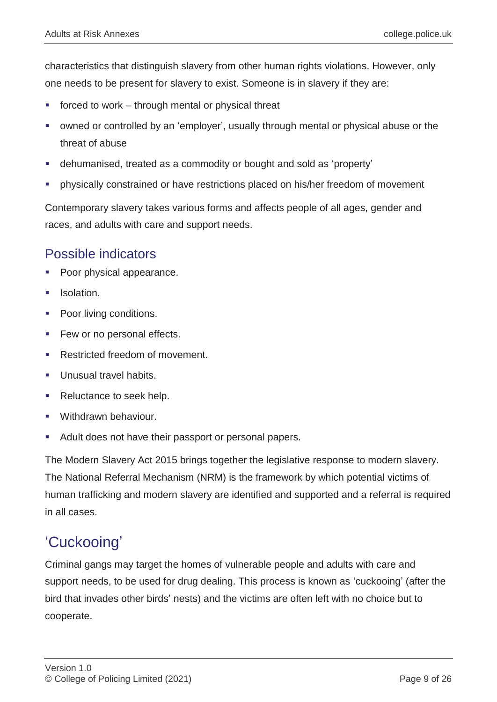characteristics that distinguish slavery from other human rights violations. However, only one needs to be present for slavery to exist. Someone is in slavery if they are:

- forced to work through mental or physical threat
- owned or controlled by an 'employer', usually through mental or physical abuse or the threat of abuse
- dehumanised, treated as a commodity or bought and sold as 'property'
- physically constrained or have restrictions placed on his/her freedom of movement

Contemporary slavery takes various forms and affects people of all ages, gender and races, and adults with care and support needs.

#### Possible indicators

- Poor physical appearance.
- **Isolation**
- Poor living conditions.
- Few or no personal effects.
- **Restricted freedom of movement.**
- Unusual travel habits.
- Reluctance to seek help.
- Withdrawn behaviour.
- Adult does not have their passport or personal papers.

The Modern Slavery Act 2015 brings together the legislative response to modern slavery. The National Referral Mechanism (NRM) is the framework by which potential victims of human trafficking and modern slavery are identified and supported and a referral is required in all cases.

## 'Cuckooing'

Criminal gangs may target the homes of vulnerable people and adults with care and support needs, to be used for drug dealing. This process is known as 'cuckooing' (after the bird that invades other birds' nests) and the victims are often left with no choice but to cooperate.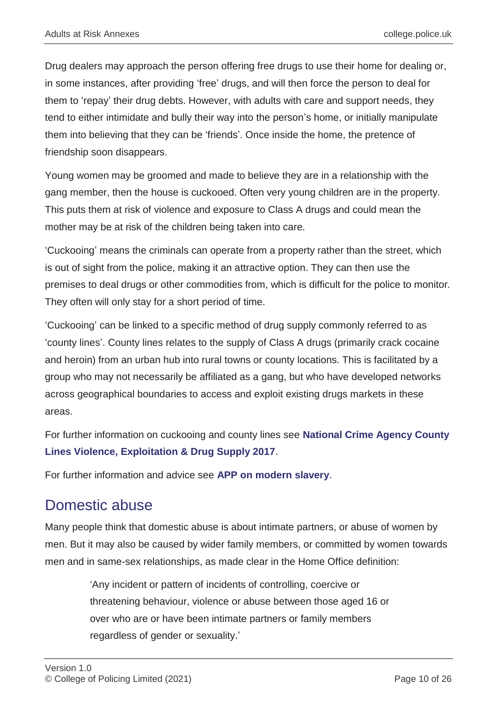Drug dealers may approach the person offering free drugs to use their home for dealing or, in some instances, after providing 'free' drugs, and will then force the person to deal for them to 'repay' their drug debts. However, with adults with care and support needs, they tend to either intimidate and bully their way into the person's home, or initially manipulate them into believing that they can be 'friends'. Once inside the home, the pretence of friendship soon disappears.

Young women may be groomed and made to believe they are in a relationship with the gang member, then the house is cuckooed. Often very young children are in the property. This puts them at risk of violence and exposure to Class A drugs and could mean the mother may be at risk of the children being taken into care.

'Cuckooing' means the criminals can operate from a property rather than the street, which is out of sight from the police, making it an attractive option. They can then use the premises to deal drugs or other commodities from, which is difficult for the police to monitor. They often will only stay for a short period of time.

'Cuckooing' can be linked to a specific method of drug supply commonly referred to as 'county lines'. County lines relates to the supply of Class A drugs (primarily crack cocaine and heroin) from an urban hub into rural towns or county locations. This is facilitated by a group who may not necessarily be affiliated as a gang, but who have developed networks across geographical boundaries to access and exploit existing drugs markets in these areas.

For further information on cuckooing and county lines see **[National Crime Agency County](https://www.nationalcrimeagency.gov.uk/who-we-are/publications/234-county-lines-violen-ce-exploitation-drug-supply-2017/file)  [Lines Violence, Exploitation & Drug Supply 2017](https://www.nationalcrimeagency.gov.uk/who-we-are/publications/234-county-lines-violen-ce-exploitation-drug-supply-2017/file)**.

For further information and advice see **[APP on modern slavery](https://www.app.college.police.uk/app-content/major-investigation-and-public-protection/modern-slavery/)**.

## Domestic abuse

Many people think that domestic abuse is about intimate partners, or abuse of women by men. But it may also be caused by wider family members, or committed by women towards men and in same-sex relationships, as made clear in the Home Office definition:

> 'Any incident or pattern of incidents of controlling, coercive or threatening behaviour, violence or abuse between those aged 16 or over who are or have been intimate partners or family members regardless of gender or sexuality.'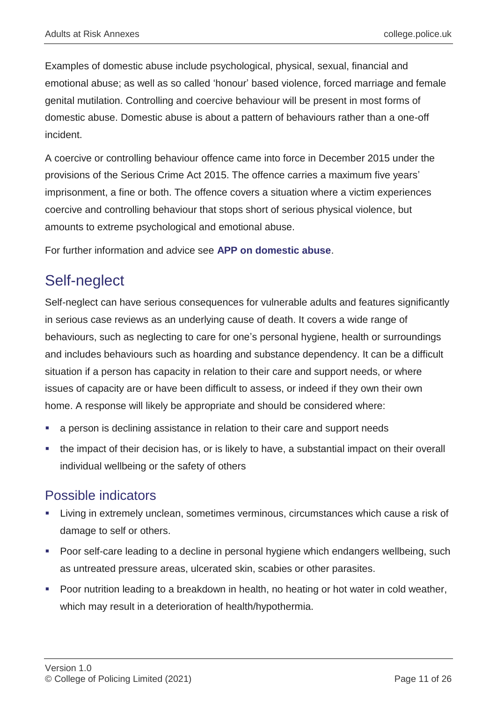Examples of domestic abuse include psychological, physical, sexual, financial and emotional abuse; as well as so called 'honour' based violence, forced marriage and female genital mutilation. Controlling and coercive behaviour will be present in most forms of domestic abuse. Domestic abuse is about a pattern of behaviours rather than a one-off incident.

A coercive or controlling behaviour offence came into force in December 2015 under the provisions of the Serious Crime Act 2015. The offence carries a maximum five years' imprisonment, a fine or both. The offence covers a situation where a victim experiences coercive and controlling behaviour that stops short of serious physical violence, but amounts to extreme psychological and emotional abuse.

For further information and advice see **[APP on domestic abuse](https://www.app.college.police.uk/app-content/major-investigation-and-public-protection/domestic-abuse/)**.

## Self-neglect

Self-neglect can have serious consequences for vulnerable adults and features significantly in serious case reviews as an underlying cause of death. It covers a wide range of behaviours, such as neglecting to care for one's personal hygiene, health or surroundings and includes behaviours such as hoarding and substance dependency. It can be a difficult situation if a person has capacity in relation to their care and support needs, or where issues of capacity are or have been difficult to assess, or indeed if they own their own home. A response will likely be appropriate and should be considered where:

- a person is declining assistance in relation to their care and support needs
- the impact of their decision has, or is likely to have, a substantial impact on their overall individual wellbeing or the safety of others

#### Possible indicators

- Living in extremely unclean, sometimes verminous, circumstances which cause a risk of damage to self or others.
- Poor self-care leading to a decline in personal hygiene which endangers wellbeing, such as untreated pressure areas, ulcerated skin, scabies or other parasites.
- Poor nutrition leading to a breakdown in health, no heating or hot water in cold weather, which may result in a deterioration of health/hypothermia.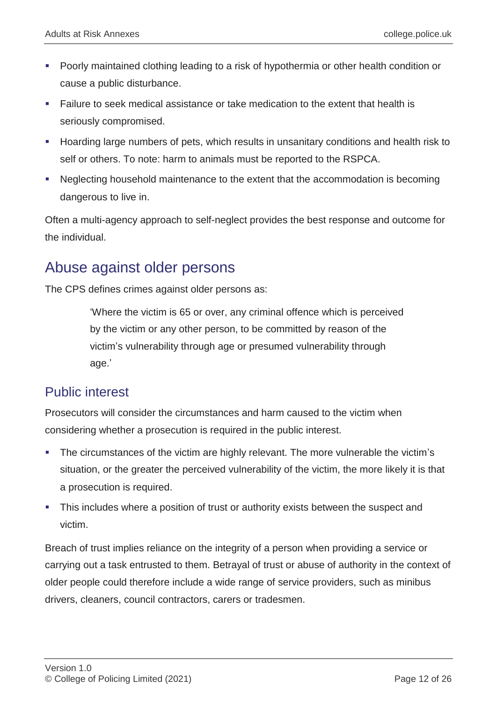- Poorly maintained clothing leading to a risk of hypothermia or other health condition or cause a public disturbance.
- Failure to seek medical assistance or take medication to the extent that health is seriously compromised.
- Hoarding large numbers of pets, which results in unsanitary conditions and health risk to self or others. To note: harm to animals must be reported to the RSPCA.
- Neglecting household maintenance to the extent that the accommodation is becoming dangerous to live in.

Often a multi-agency approach to self-neglect provides the best response and outcome for the individual.

## Abuse against older persons

The CPS defines crimes against older persons as:

'Where the victim is 65 or over, any criminal offence which is perceived by the victim or any other person, to be committed by reason of the victim's vulnerability through age or presumed vulnerability through age.'

#### Public interest

Prosecutors will consider the circumstances and harm caused to the victim when considering whether a prosecution is required in the public interest.

- The circumstances of the victim are highly relevant. The more vulnerable the victim's situation, or the greater the perceived vulnerability of the victim, the more likely it is that a prosecution is required.
- This includes where a position of trust or authority exists between the suspect and victim.

Breach of trust implies reliance on the integrity of a person when providing a service or carrying out a task entrusted to them. Betrayal of trust or abuse of authority in the context of older people could therefore include a wide range of service providers, such as minibus drivers, cleaners, council contractors, carers or tradesmen.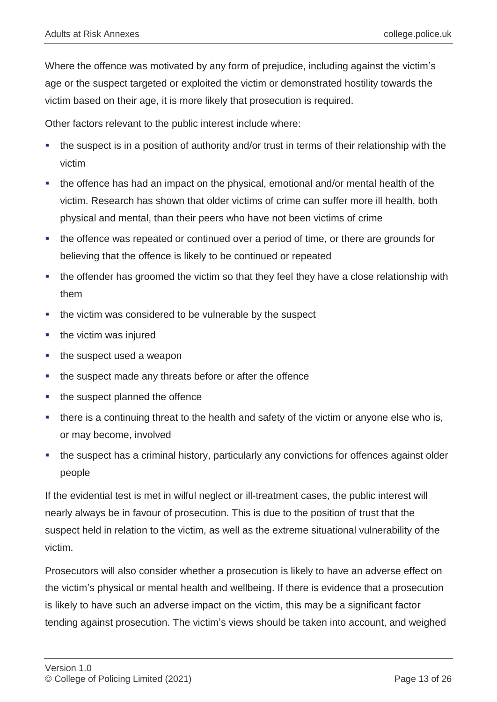Where the offence was motivated by any form of prejudice, including against the victim's age or the suspect targeted or exploited the victim or demonstrated hostility towards the victim based on their age, it is more likely that prosecution is required.

Other factors relevant to the public interest include where:

- the suspect is in a position of authority and/or trust in terms of their relationship with the victim
- the offence has had an impact on the physical, emotional and/or mental health of the victim. Research has shown that older victims of crime can suffer more ill health, both physical and mental, than their peers who have not been victims of crime
- the offence was repeated or continued over a period of time, or there are grounds for believing that the offence is likely to be continued or repeated
- the offender has groomed the victim so that they feel they have a close relationship with them
- the victim was considered to be vulnerable by the suspect
- $\blacksquare$  the victim was injured
- the suspect used a weapon
- the suspect made any threats before or after the offence
- the suspect planned the offence
- there is a continuing threat to the health and safety of the victim or anyone else who is, or may become, involved
- the suspect has a criminal history, particularly any convictions for offences against older people

If the evidential test is met in wilful neglect or ill-treatment cases, the public interest will nearly always be in favour of prosecution. This is due to the position of trust that the suspect held in relation to the victim, as well as the extreme situational vulnerability of the victim.

Prosecutors will also consider whether a prosecution is likely to have an adverse effect on the victim's physical or mental health and wellbeing. If there is evidence that a prosecution is likely to have such an adverse impact on the victim, this may be a significant factor tending against prosecution. The victim's views should be taken into account, and weighed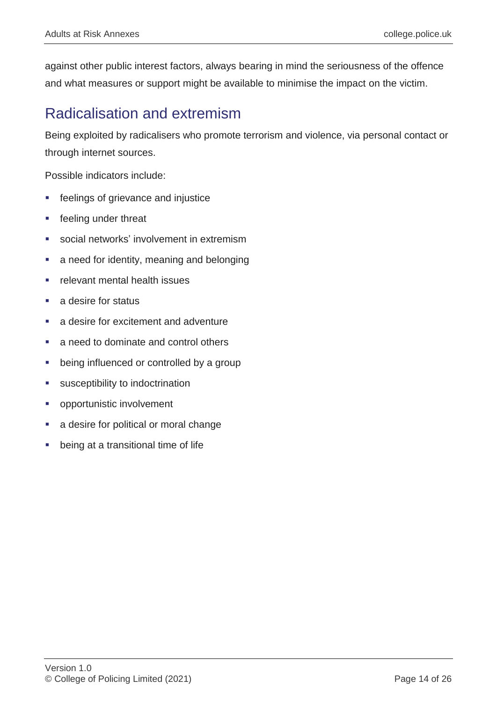against other public interest factors, always bearing in mind the seriousness of the offence and what measures or support might be available to minimise the impact on the victim.

## Radicalisation and extremism

Being exploited by radicalisers who promote terrorism and violence, via personal contact or through internet sources.

Possible indicators include:

- feelings of grievance and injustice
- feeling under threat
- social networks' involvement in extremism
- a need for identity, meaning and belonging
- relevant mental health issues
- a desire for status
- **a** desire for excitement and adventure
- a need to dominate and control others
- being influenced or controlled by a group
- susceptibility to indoctrination
- opportunistic involvement
- a desire for political or moral change
- being at a transitional time of life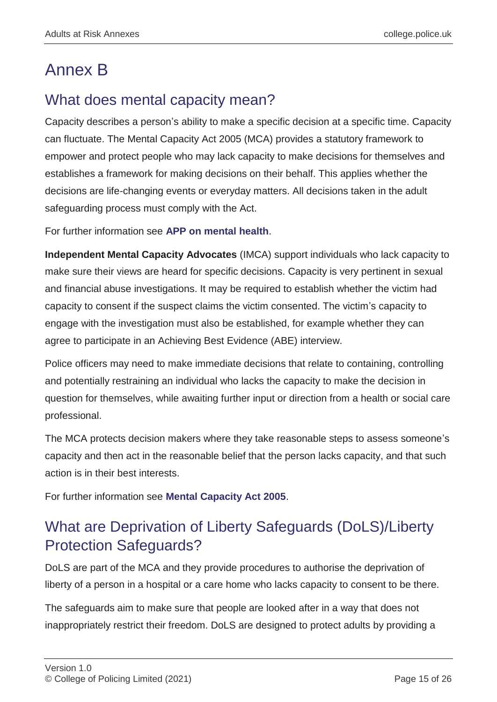# Annex B

# What does mental capacity mean?

Capacity describes a person's ability to make a specific decision at a specific time. Capacity can fluctuate. The Mental Capacity Act 2005 (MCA) provides a statutory framework to empower and protect people who may lack capacity to make decisions for themselves and establishes a framework for making decisions on their behalf. This applies whether the decisions are life-changing events or everyday matters. All decisions taken in the adult safeguarding process must comply with the Act.

For further information see **[APP on mental health](https://www.app.college.police.uk/app-content/mental-health/mental-capacity/?highlight=MENTAL%20CAPACITY?s=MENTAL+CAPACITY)**.

**Independent Mental Capacity Advocates** (IMCA) support individuals who lack capacity to make sure their views are heard for specific decisions. Capacity is very pertinent in sexual and financial abuse investigations. It may be required to establish whether the victim had capacity to consent if the suspect claims the victim consented. The victim's capacity to engage with the investigation must also be established, for example whether they can agree to participate in an Achieving Best Evidence (ABE) interview.

Police officers may need to make immediate decisions that relate to containing, controlling and potentially restraining an individual who lacks the capacity to make the decision in question for themselves, while awaiting further input or direction from a health or social care professional.

The MCA protects decision makers where they take reasonable steps to assess someone's capacity and then act in the reasonable belief that the person lacks capacity, and that such action is in their best interests.

For further information see **[Mental Capacity Act 2005](http://www.legislation.gov.uk/ukpga/2005/9/contents)**.

# What are Deprivation of Liberty Safeguards (DoLS)/Liberty Protection Safeguards?

DoLS are part of the MCA and they provide procedures to authorise the deprivation of liberty of a person in a hospital or a care home who lacks capacity to consent to be there.

The safeguards aim to make sure that people are looked after in a way that does not inappropriately restrict their freedom. DoLS are designed to protect adults by providing a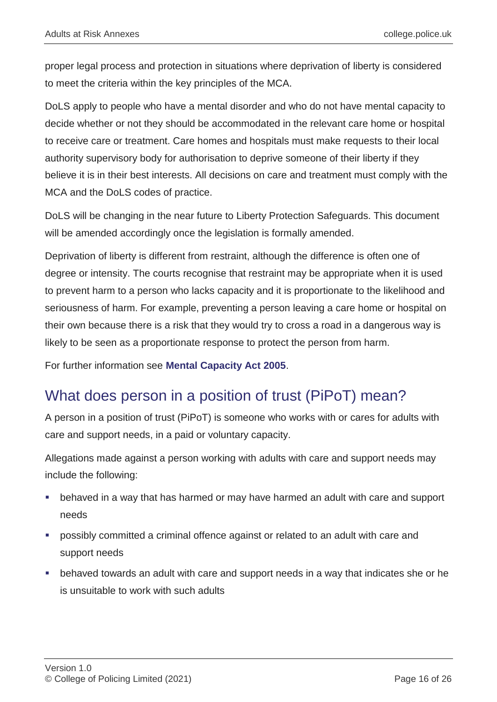proper legal process and protection in situations where deprivation of liberty is considered to meet the criteria within the key principles of the MCA.

DoLS apply to people who have a mental disorder and who do not have mental capacity to decide whether or not they should be accommodated in the relevant care home or hospital to receive care or treatment. Care homes and hospitals must make requests to their local authority supervisory body for authorisation to deprive someone of their liberty if they believe it is in their best interests. All decisions on care and treatment must comply with the MCA and the DoLS codes of practice.

DoLS will be changing in the near future to Liberty Protection Safeguards. This document will be amended accordingly once the legislation is formally amended.

Deprivation of liberty is different from restraint, although the difference is often one of degree or intensity. The courts recognise that restraint may be appropriate when it is used to prevent harm to a person who lacks capacity and it is proportionate to the likelihood and seriousness of harm. For example, preventing a person leaving a care home or hospital on their own because there is a risk that they would try to cross a road in a dangerous way is likely to be seen as a proportionate response to protect the person from harm.

For further information see **[Mental Capacity Act 2005](http://www.legislation.gov.uk/ukpga/2005/9/contents)**.

# What does person in a position of trust (PiPoT) mean?

A person in a position of trust (PiPoT) is someone who works with or cares for adults with care and support needs, in a paid or voluntary capacity.

Allegations made against a person working with adults with care and support needs may include the following:

- behaved in a way that has harmed or may have harmed an adult with care and support needs
- possibly committed a criminal offence against or related to an adult with care and support needs
- behaved towards an adult with care and support needs in a way that indicates she or he is unsuitable to work with such adults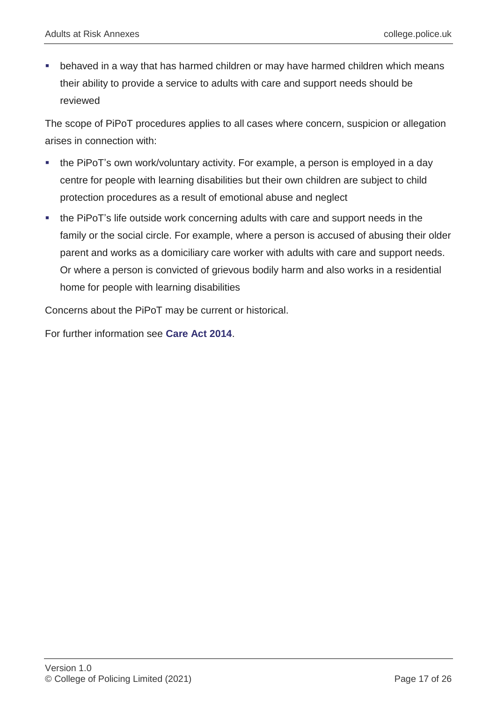behaved in a way that has harmed children or may have harmed children which means their ability to provide a service to adults with care and support needs should be reviewed

The scope of PiPoT procedures applies to all cases where concern, suspicion or allegation arises in connection with:

- the PiPoT's own work/voluntary activity. For example, a person is employed in a day centre for people with learning disabilities but their own children are subject to child protection procedures as a result of emotional abuse and neglect
- the PiPoT's life outside work concerning adults with care and support needs in the family or the social circle. For example, where a person is accused of abusing their older parent and works as a domiciliary care worker with adults with care and support needs. Or where a person is convicted of grievous bodily harm and also works in a residential home for people with learning disabilities

Concerns about the PiPoT may be current or historical.

For further information see **[Care Act 2014](http://www.legislation.gov.uk/ukpga/2014/23/contents?text=Section%2042%20enquiries)**.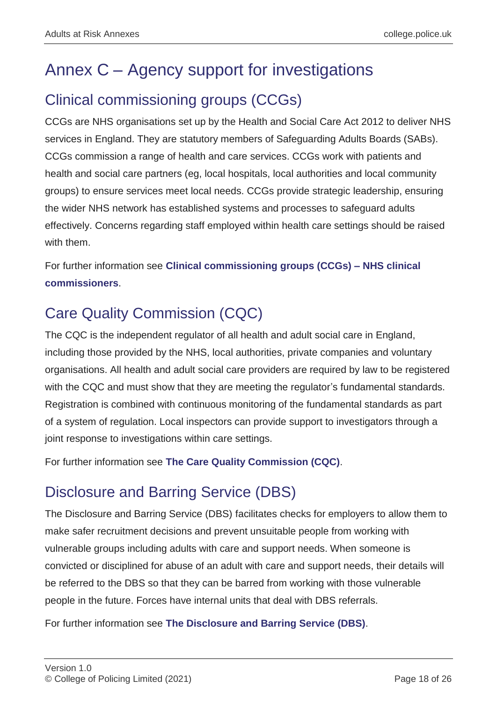# Annex C – Agency support for investigations

# Clinical commissioning groups (CCGs)

CCGs are NHS organisations set up by the Health and Social Care Act 2012 to deliver NHS services in England. They are statutory members of Safeguarding Adults Boards (SABs). CCGs commission a range of health and care services. CCGs work with patients and health and social care partners (eg, local hospitals, local authorities and local community groups) to ensure services meet local needs. CCGs provide strategic leadership, ensuring the wider NHS network has established systems and processes to safeguard adults effectively. Concerns regarding staff employed within health care settings should be raised with them.

For further information see **[Clinical commissioning groups \(CCGs\) –](https://www.nhscc.org/ccgs/) NHS clinical [commissioners](https://www.nhscc.org/ccgs/)**.

# Care Quality Commission (CQC)

The CQC is the independent regulator of all health and adult social care in England, including those provided by the NHS, local authorities, private companies and voluntary organisations. All health and adult social care providers are required by law to be registered with the CQC and must show that they are meeting the regulator's fundamental standards. Registration is combined with continuous monitoring of the fundamental standards as part of a system of regulation. Local inspectors can provide support to investigators through a joint response to investigations within care settings.

For further information see **[The Care Quality Commission \(CQC\)](https://www.cqc.org.uk/)**.

# Disclosure and Barring Service (DBS)

The Disclosure and Barring Service (DBS) facilitates checks for employers to allow them to make safer recruitment decisions and prevent unsuitable people from working with vulnerable groups including adults with care and support needs. When someone is convicted or disciplined for abuse of an adult with care and support needs, their details will be referred to the DBS so that they can be barred from working with those vulnerable people in the future. Forces have internal units that deal with DBS referrals.

For further information see **[The Disclosure and Barring Service \(DBS\)](https://www.gov.uk/government/organisations/disclosure-and-barring-service)**.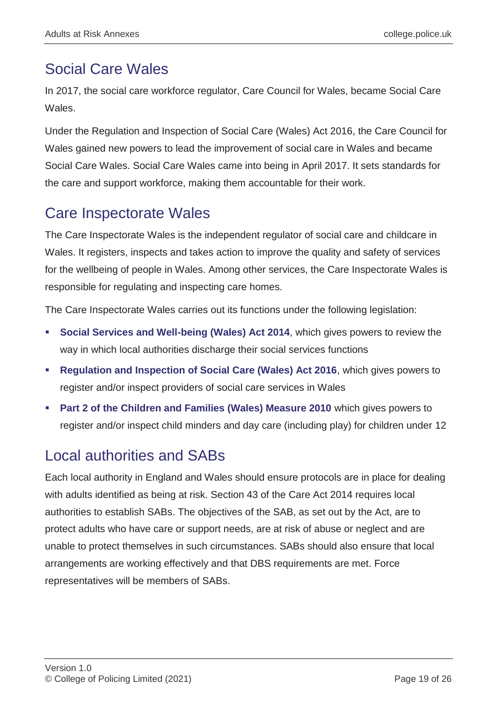# Social Care Wales

In 2017, the social care workforce regulator, Care Council for Wales, became Social Care **Wales** 

Under the Regulation and Inspection of Social Care (Wales) Act 2016, the Care Council for Wales gained new powers to lead the improvement of social care in Wales and became Social Care Wales. Social Care Wales came into being in April 2017. It sets standards for the care and support workforce, making them accountable for their work.

# Care Inspectorate Wales

The Care Inspectorate Wales is the independent regulator of social care and childcare in Wales. It registers, inspects and takes action to improve the quality and safety of services for the wellbeing of people in Wales. Among other services, the Care Inspectorate Wales is responsible for regulating and inspecting care homes.

The Care Inspectorate Wales carries out its functions under the following legislation:

- **[Social Services and Well-being \(Wales\) Act 2014](http://www.legislation.gov.uk/anaw/2014/4/contents)**, which gives powers to review the way in which local authorities discharge their social services functions
- **[Regulation and Inspection of Social Care \(Wales\) Act 2016](http://www.senedd.assembly.wales/mgIssueHistoryHome.aspx?IId=12110)**, which gives powers to register and/or inspect providers of social care services in Wales
- **[Part 2 of the Children and Families \(Wales\) Measure 2010](https://www.legislation.gov.uk/mwa/2010/1/part/2)** which gives powers to register and/or inspect child minders and day care (including play) for children under 12

# Local authorities and SABs

Each local authority in England and Wales should ensure protocols are in place for dealing with adults identified as being at risk. Section 43 of the Care Act 2014 requires local authorities to establish SABs. The objectives of the SAB, as set out by the Act, are to protect adults who have care or support needs, are at risk of abuse or neglect and are unable to protect themselves in such circumstances. SABs should also ensure that local arrangements are working effectively and that DBS requirements are met. Force representatives will be members of SABs.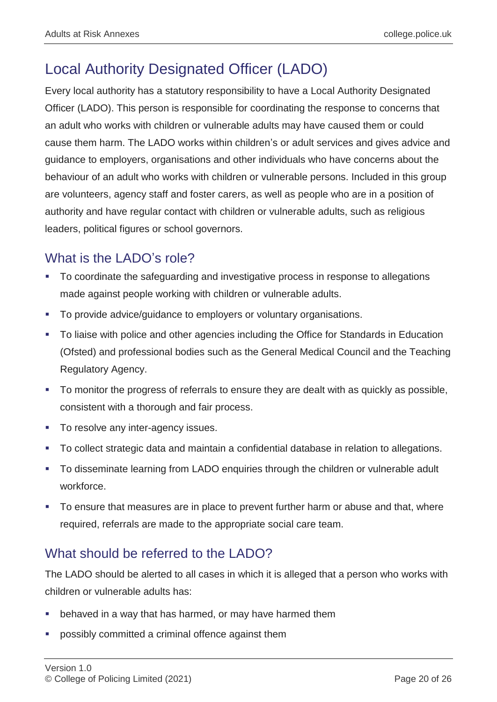# Local Authority Designated Officer (LADO)

Every local authority has a statutory responsibility to have a Local Authority Designated Officer (LADO). This person is responsible for coordinating the response to concerns that an adult who works with children or vulnerable adults may have caused them or could cause them harm. The LADO works within children's or adult services and gives advice and guidance to employers, organisations and other individuals who have concerns about the behaviour of an adult who works with children or vulnerable persons. Included in this group are volunteers, agency staff and foster carers, as well as people who are in a position of authority and have regular contact with children or vulnerable adults, such as religious leaders, political figures or school governors.

## What is the LADO's role?

- To coordinate the safeguarding and investigative process in response to allegations made against people working with children or vulnerable adults.
- To provide advice/guidance to employers or voluntary organisations.
- To liaise with police and other agencies including the Office for Standards in Education (Ofsted) and professional bodies such as the General Medical Council and the Teaching Regulatory Agency.
- To monitor the progress of referrals to ensure they are dealt with as quickly as possible, consistent with a thorough and fair process.
- To resolve any inter-agency issues.
- To collect strategic data and maintain a confidential database in relation to allegations.
- To disseminate learning from LADO enquiries through the children or vulnerable adult workforce.
- To ensure that measures are in place to prevent further harm or abuse and that, where required, referrals are made to the appropriate social care team.

### What should be referred to the LADO?

The LADO should be alerted to all cases in which it is alleged that a person who works with children or vulnerable adults has:

- behaved in a way that has harmed, or may have harmed them
- possibly committed a criminal offence against them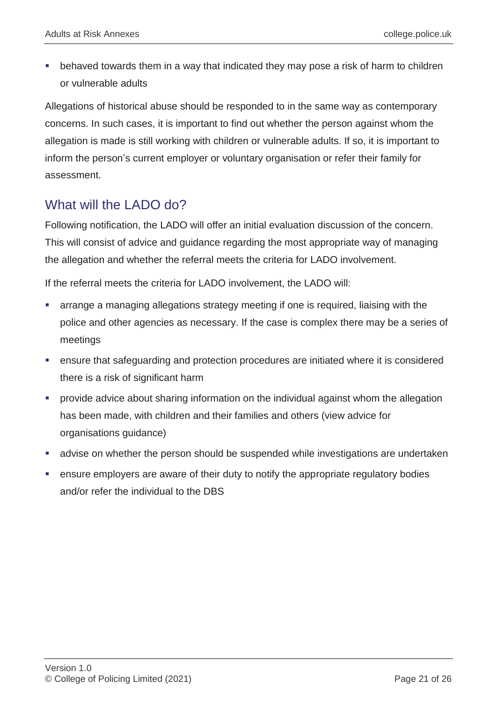behaved towards them in a way that indicated they may pose a risk of harm to children or vulnerable adults

Allegations of historical abuse should be responded to in the same way as contemporary concerns. In such cases, it is important to find out whether the person against whom the allegation is made is still working with children or vulnerable adults. If so, it is important to inform the person's current employer or voluntary organisation or refer their family for assessment.

### What will the LADO do?

Following notification, the LADO will offer an initial evaluation discussion of the concern. This will consist of advice and guidance regarding the most appropriate way of managing the allegation and whether the referral meets the criteria for LADO involvement.

If the referral meets the criteria for LADO involvement, the LADO will:

- arrange a managing allegations strategy meeting if one is required, liaising with the police and other agencies as necessary. If the case is complex there may be a series of meetings
- ensure that safeguarding and protection procedures are initiated where it is considered there is a risk of significant harm
- provide advice about sharing information on the individual against whom the allegation has been made, with children and their families and others (view advice for organisations guidance)
- advise on whether the person should be suspended while investigations are undertaken
- ensure employers are aware of their duty to notify the appropriate regulatory bodies and/or refer the individual to the DBS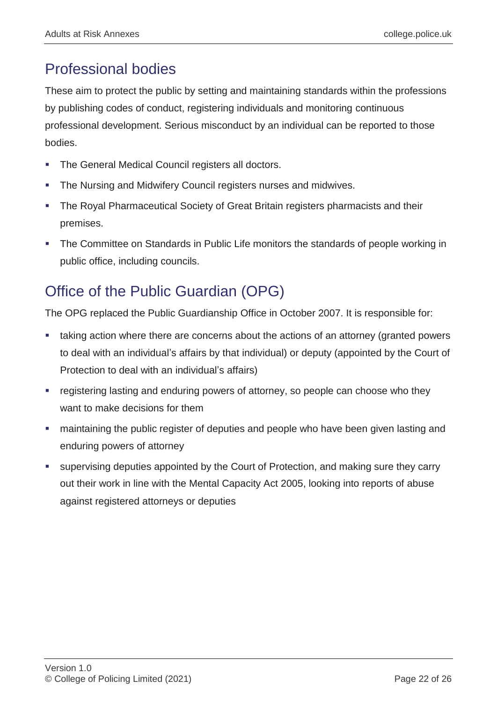# Professional bodies

These aim to protect the public by setting and maintaining standards within the professions by publishing codes of conduct, registering individuals and monitoring continuous professional development. Serious misconduct by an individual can be reported to those bodies.

- The General Medical Council registers all doctors.
- The Nursing and Midwifery Council registers nurses and midwives.
- The Royal Pharmaceutical Society of Great Britain registers pharmacists and their premises.
- The Committee on Standards in Public Life monitors the standards of people working in public office, including councils.

# Office of the Public Guardian (OPG)

The OPG replaced the Public Guardianship Office in October 2007. It is responsible for:

- taking action where there are concerns about the actions of an attorney (granted powers to deal with an individual's affairs by that individual) or deputy (appointed by the Court of Protection to deal with an individual's affairs)
- **•** registering lasting and enduring powers of attorney, so people can choose who they want to make decisions for them
- maintaining the public register of deputies and people who have been given lasting and enduring powers of attorney
- supervising deputies appointed by the Court of Protection, and making sure they carry out their work in line with the Mental Capacity Act 2005, looking into reports of abuse against registered attorneys or deputies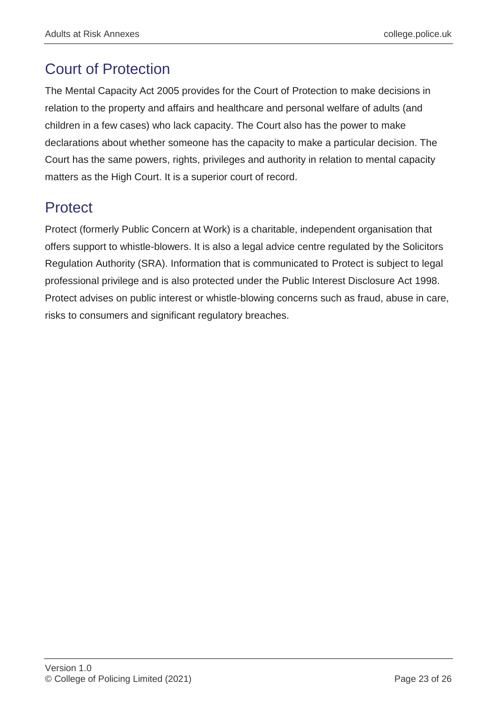# Court of Protection

The Mental Capacity Act 2005 provides for the Court of Protection to make decisions in relation to the property and affairs and healthcare and personal welfare of adults (and children in a few cases) who lack capacity. The Court also has the power to make declarations about whether someone has the capacity to make a particular decision. The Court has the same powers, rights, privileges and authority in relation to mental capacity matters as the High Court. It is a superior court of record.

# **Protect**

Protect (formerly Public Concern at Work) is a charitable, independent organisation that offers support to whistle-blowers. It is also a legal advice centre regulated by the Solicitors Regulation Authority (SRA). Information that is communicated to Protect is subject to legal professional privilege and is also protected under the Public Interest Disclosure Act 1998. Protect advises on public interest or whistle-blowing concerns such as fraud, abuse in care, risks to consumers and significant regulatory breaches.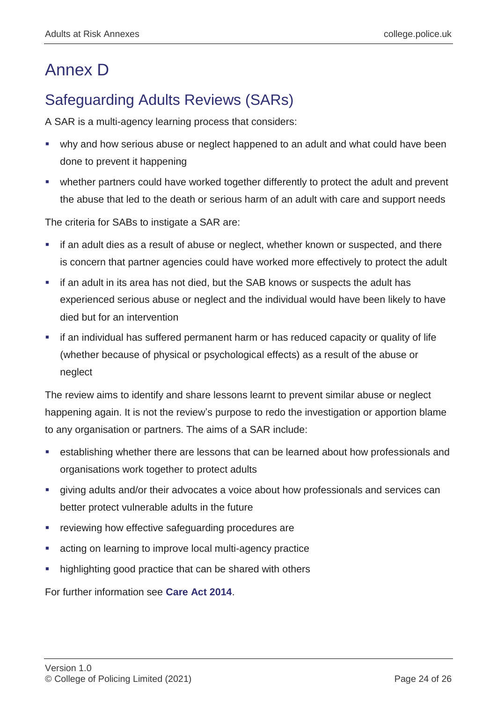# Annex D

# Safeguarding Adults Reviews (SARs)

A SAR is a multi-agency learning process that considers:

- why and how serious abuse or neglect happened to an adult and what could have been done to prevent it happening
- whether partners could have worked together differently to protect the adult and prevent the abuse that led to the death or serious harm of an adult with care and support needs

The criteria for SABs to instigate a SAR are:

- if an adult dies as a result of abuse or neglect, whether known or suspected, and there is concern that partner agencies could have worked more effectively to protect the adult
- if an adult in its area has not died, but the SAB knows or suspects the adult has experienced serious abuse or neglect and the individual would have been likely to have died but for an intervention
- if an individual has suffered permanent harm or has reduced capacity or quality of life (whether because of physical or psychological effects) as a result of the abuse or neglect

The review aims to identify and share lessons learnt to prevent similar abuse or neglect happening again. It is not the review's purpose to redo the investigation or apportion blame to any organisation or partners. The aims of a SAR include:

- establishing whether there are lessons that can be learned about how professionals and organisations work together to protect adults
- giving adults and/or their advocates a voice about how professionals and services can better protect vulnerable adults in the future
- reviewing how effective safeguarding procedures are
- acting on learning to improve local multi-agency practice
- highlighting good practice that can be shared with others

For further information see **[Care Act 2014](https://www.legislation.gov.uk/ukpga/2014/23/contents/enacted)**.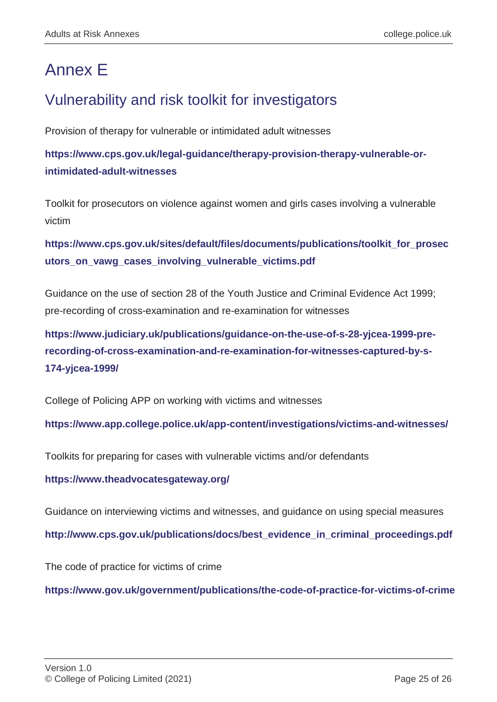# Annex E

# Vulnerability and risk toolkit for investigators

Provision of therapy for vulnerable or intimidated adult witnesses

**[https://www.cps.gov.uk/legal-guidance/therapy-provision-therapy-vulnerable-or](https://www.cps.gov.uk/legal-guidance/therapy-provision-therapy-vulnerable-or-intimidated-adult-witnesses)[intimidated-adult-witnesses](https://www.cps.gov.uk/legal-guidance/therapy-provision-therapy-vulnerable-or-intimidated-adult-witnesses)**

Toolkit for prosecutors on violence against women and girls cases involving a vulnerable victim

**[https://www.cps.gov.uk/sites/default/files/documents/publications/toolkit\\_for\\_prosec](https://www.cps.gov.uk/sites/default/files/documents/publications/toolkit_for_prosecutors_on_vawg_cases_involving_vulnerable_victims.pdf) [utors\\_on\\_vawg\\_cases\\_involving\\_vulnerable\\_victims.pdf](https://www.cps.gov.uk/sites/default/files/documents/publications/toolkit_for_prosecutors_on_vawg_cases_involving_vulnerable_victims.pdf)**

Guidance on the use of section 28 of the Youth Justice and Criminal Evidence Act 1999; pre-recording of cross-examination and re-examination for witnesses

**[https://www.judiciary.uk/publications/guidance-on-the-use-of-s-28-yjcea-1999-pre](https://www.judiciary.uk/publications/guidance-on-the-use-of-s-28-yjcea-1999-pre-recording-of-cross-examination-and-re-examination-for-witnesses-captured-by-s-174-yjcea-1999/)[recording-of-cross-examination-and-re-examination-for-witnesses-captured-by-s-](https://www.judiciary.uk/publications/guidance-on-the-use-of-s-28-yjcea-1999-pre-recording-of-cross-examination-and-re-examination-for-witnesses-captured-by-s-174-yjcea-1999/)[174-yjcea-1999/](https://www.judiciary.uk/publications/guidance-on-the-use-of-s-28-yjcea-1999-pre-recording-of-cross-examination-and-re-examination-for-witnesses-captured-by-s-174-yjcea-1999/)**

College of Policing APP on working with victims and witnesses

**<https://www.app.college.police.uk/app-content/investigations/victims-and-witnesses/>**

Toolkits for preparing for cases with vulnerable victims and/or defendants

**<https://www.theadvocatesgateway.org/>**

Guidance on interviewing victims and witnesses, and guidance on using special measures

**[http://www.cps.gov.uk/publications/docs/best\\_evidence\\_in\\_criminal\\_proceedings.pdf](http://www.cps.gov.uk/publications/docs/best_evidence_in_criminal_proceedings.pdf)**

The code of practice for victims of crime

**<https://www.gov.uk/government/publications/the-code-of-practice-for-victims-of-crime>**